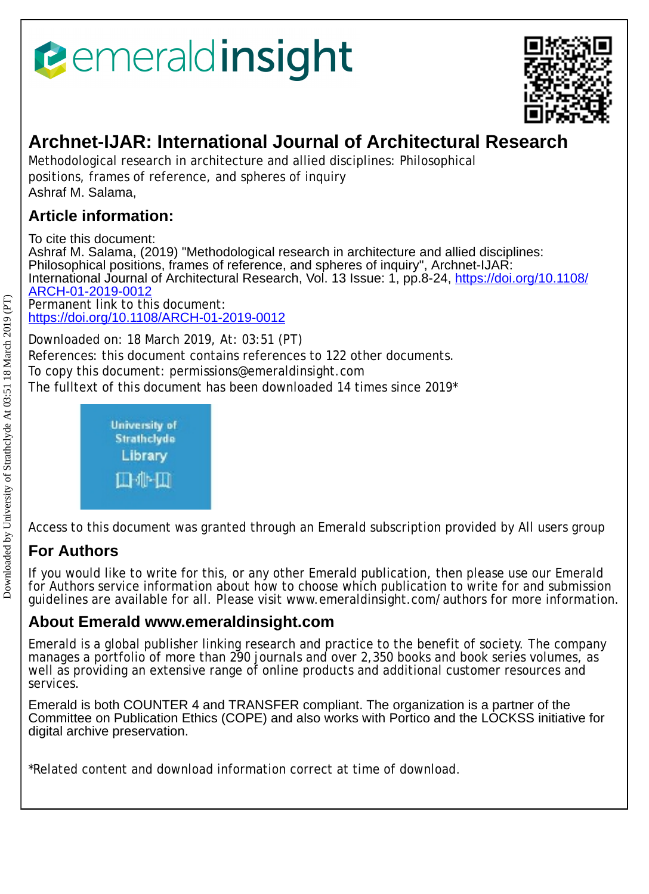# *<u><b>emeraldinsight</u>*



## **Archnet-IJAR: International Journal of Architectural Research**

Methodological research in architecture and allied disciplines: Philosophical positions, frames of reference, and spheres of inquiry Ashraf M. Salama,

## **Article information:**

To cite this document: Ashraf M. Salama, (2019) "Methodological research in architecture and allied disciplines: Philosophical positions, frames of reference, and spheres of inquiry", Archnet-IJAR: International Journal of Architectural Research, Vol. 13 Issue: 1, pp.8-24, [https://doi.org/10.1108/](https://doi.org/10.1108/ARCH-01-2019-0012) [ARCH-01-2019-0012](https://doi.org/10.1108/ARCH-01-2019-0012) Permanent link to this document: <https://doi.org/10.1108/ARCH-01-2019-0012>

Downloaded on: 18 March 2019, At: 03:51 (PT) References: this document contains references to 122 other documents. To copy this document: permissions@emeraldinsight.com The fulltext of this document has been downloaded 14 times since 2019\*



Access to this document was granted through an Emerald subscription provided by All users group

## **For Authors**

If you would like to write for this, or any other Emerald publication, then please use our Emerald for Authors service information about how to choose which publication to write for and submission guidelines are available for all. Please visit www.emeraldinsight.com/authors for more information.

## **About Emerald www.emeraldinsight.com**

Emerald is a global publisher linking research and practice to the benefit of society. The company manages a portfolio of more than 290 journals and over 2,350 books and book series volumes, as well as providing an extensive range of online products and additional customer resources and services.

Emerald is both COUNTER 4 and TRANSFER compliant. The organization is a partner of the Committee on Publication Ethics (COPE) and also works with Portico and the LOCKSS initiative for digital archive preservation.

\*Related content and download information correct at time of download.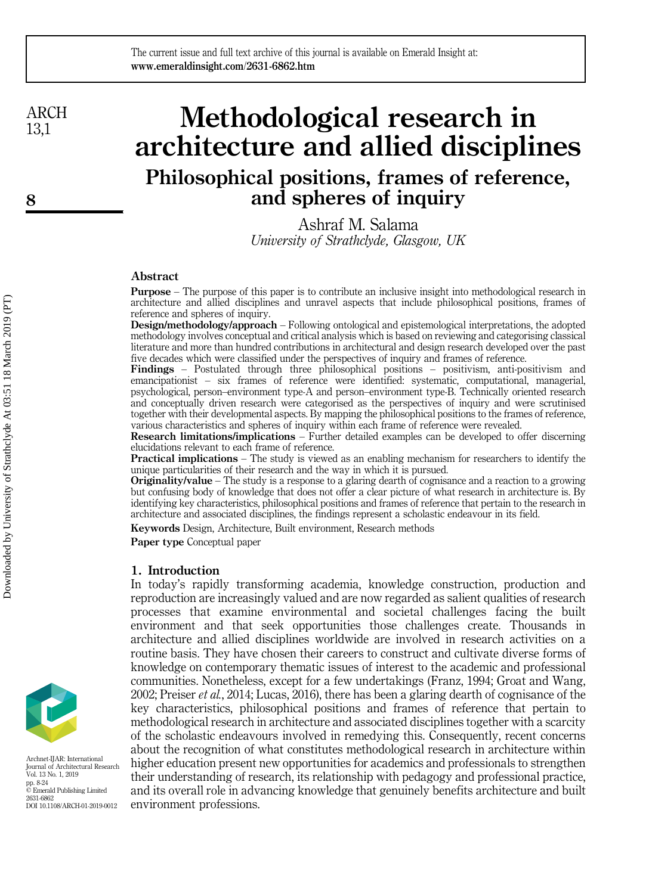ARCH 13,1

8

## Methodological research in architecture and allied disciplines Philosophical positions, frames of reference, and spheres of inquiry

Ashraf M. Salama University of Strathclyde, Glasgow, UK

#### Abstract

Purpose – The purpose of this paper is to contribute an inclusive insight into methodological research in architecture and allied disciplines and unravel aspects that include philosophical positions, frames of reference and spheres of inquiry.

Design/methodology/approach – Following ontological and epistemological interpretations, the adopted methodology involves conceptual and critical analysis which is based on reviewing and categorising classical literature and more than hundred contributions in architectural and design research developed over the past five decades which were classified under the perspectives of inquiry and frames of reference.

Findings – Postulated through three philosophical positions – positivism, anti-positivism and emancipationist – six frames of reference were identified: systematic, computational, managerial, psychological, person–environment type-A and person–environment type-B. Technically oriented research and conceptually driven research were categorised as the perspectives of inquiry and were scrutinised together with their developmental aspects. By mapping the philosophical positions to the frames of reference, various characteristics and spheres of inquiry within each frame of reference were revealed.

Research limitations/implications – Further detailed examples can be developed to offer discerning elucidations relevant to each frame of reference.

Practical implications – The study is viewed as an enabling mechanism for researchers to identify the unique particularities of their research and the way in which it is pursued.

Originality/value – The study is a response to a glaring dearth of cognisance and a reaction to a growing but confusing body of knowledge that does not offer a clear picture of what research in architecture is. By identifying key characteristics, philosophical positions and frames of reference that pertain to the research in architecture and associated disciplines, the findings represent a scholastic endeavour in its field.

Keywords Design, Architecture, Built environment, Research methods

Paper type Conceptual paper

#### 1. Introduction

In today's rapidly transforming academia, knowledge construction, production and reproduction are increasingly valued and are now regarded as salient qualities of research processes that examine environmental and societal challenges facing the built environment and that seek opportunities those challenges create. Thousands in architecture and allied disciplines worldwide are involved in research activities on a routine basis. They have chosen their careers to construct and cultivate diverse forms of knowledge on contemporary thematic issues of interest to the academic and professional communities. Nonetheless, except for a few undertakings (Franz, 1994; Groat and Wang, 2002; Preiser *et al.*, 2014; Lucas, 2016), there has been a glaring dearth of cognisance of the key characteristics, philosophical positions and frames of reference that pertain to methodological research in architecture and associated disciplines together with a scarcity of the scholastic endeavours involved in remedying this. Consequently, recent concerns about the recognition of what constitutes methodological research in architecture within higher education present new opportunities for academics and professionals to strengthen their understanding of research, its relationship with pedagogy and professional practice, and its overall role in advancing knowledge that genuinely benefits architecture and built environment professions.



Archnet-IJAR: International Journal of Architectural Research Vol. 13 No. 1, 2019 pp. 8-24 © Emerald Publishing Limited 2631-6862 DOI 10.1108/ARCH-01-2019-0012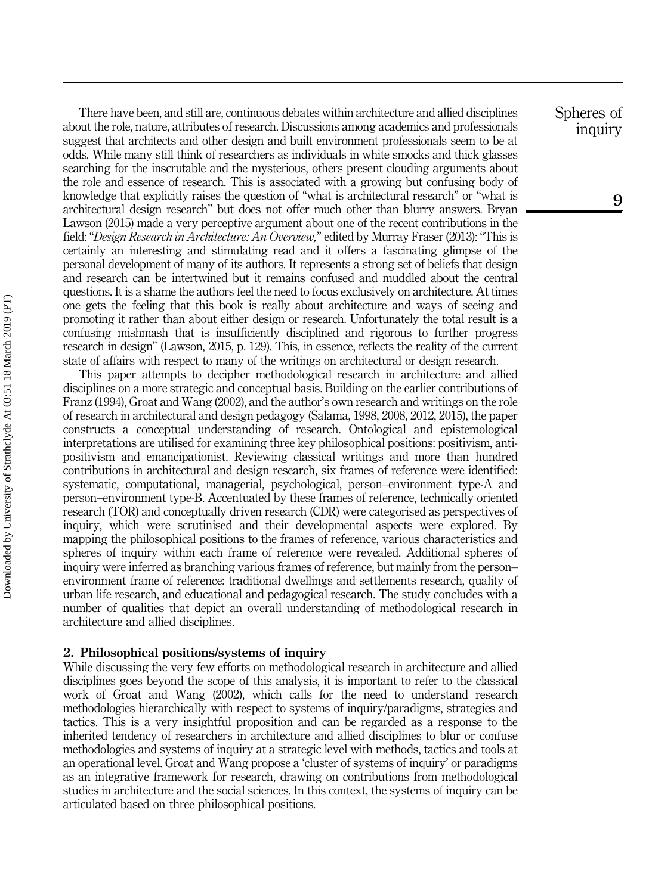There have been, and still are, continuous debates within architecture and allied disciplines about the role, nature, attributes of research. Discussions among academics and professionals suggest that architects and other design and built environment professionals seem to be at odds. While many still think of researchers as individuals in white smocks and thick glasses searching for the inscrutable and the mysterious, others present clouding arguments about the role and essence of research. This is associated with a growing but confusing body of knowledge that explicitly raises the question of "what is architectural research" or "what is architectural design research" but does not offer much other than blurry answers. Bryan Lawson (2015) made a very perceptive argument about one of the recent contributions in the field: "Design Research in Architecture: An Overview," edited by Murray Fraser (2013): "This is certainly an interesting and stimulating read and it offers a fascinating glimpse of the personal development of many of its authors. It represents a strong set of beliefs that design and research can be intertwined but it remains confused and muddled about the central questions. It is a shame the authors feel the need to focus exclusively on architecture. At times one gets the feeling that this book is really about architecture and ways of seeing and promoting it rather than about either design or research. Unfortunately the total result is a confusing mishmash that is insufficiently disciplined and rigorous to further progress research in design" (Lawson, 2015, p. 129). This, in essence, reflects the reality of the current state of affairs with respect to many of the writings on architectural or design research.

This paper attempts to decipher methodological research in architecture and allied disciplines on a more strategic and conceptual basis. Building on the earlier contributions of Franz (1994), Groat and Wang (2002), and the author's own research and writings on the role of research in architectural and design pedagogy (Salama, 1998, 2008, 2012, 2015), the paper constructs a conceptual understanding of research. Ontological and epistemological interpretations are utilised for examining three key philosophical positions: positivism, antipositivism and emancipationist. Reviewing classical writings and more than hundred contributions in architectural and design research, six frames of reference were identified: systematic, computational, managerial, psychological, person–environment type-A and person–environment type-B. Accentuated by these frames of reference, technically oriented research (TOR) and conceptually driven research (CDR) were categorised as perspectives of inquiry, which were scrutinised and their developmental aspects were explored. By mapping the philosophical positions to the frames of reference, various characteristics and spheres of inquiry within each frame of reference were revealed. Additional spheres of inquiry were inferred as branching various frames of reference, but mainly from the person– environment frame of reference: traditional dwellings and settlements research, quality of urban life research, and educational and pedagogical research. The study concludes with a number of qualities that depict an overall understanding of methodological research in architecture and allied disciplines.

#### 2. Philosophical positions/systems of inquiry

While discussing the very few efforts on methodological research in architecture and allied disciplines goes beyond the scope of this analysis, it is important to refer to the classical work of Groat and Wang (2002), which calls for the need to understand research methodologies hierarchically with respect to systems of inquiry/paradigms, strategies and tactics. This is a very insightful proposition and can be regarded as a response to the inherited tendency of researchers in architecture and allied disciplines to blur or confuse methodologies and systems of inquiry at a strategic level with methods, tactics and tools at an operational level. Groat and Wang propose a 'cluster of systems of inquiry' or paradigms as an integrative framework for research, drawing on contributions from methodological studies in architecture and the social sciences. In this context, the systems of inquiry can be articulated based on three philosophical positions.

Spheres of inquiry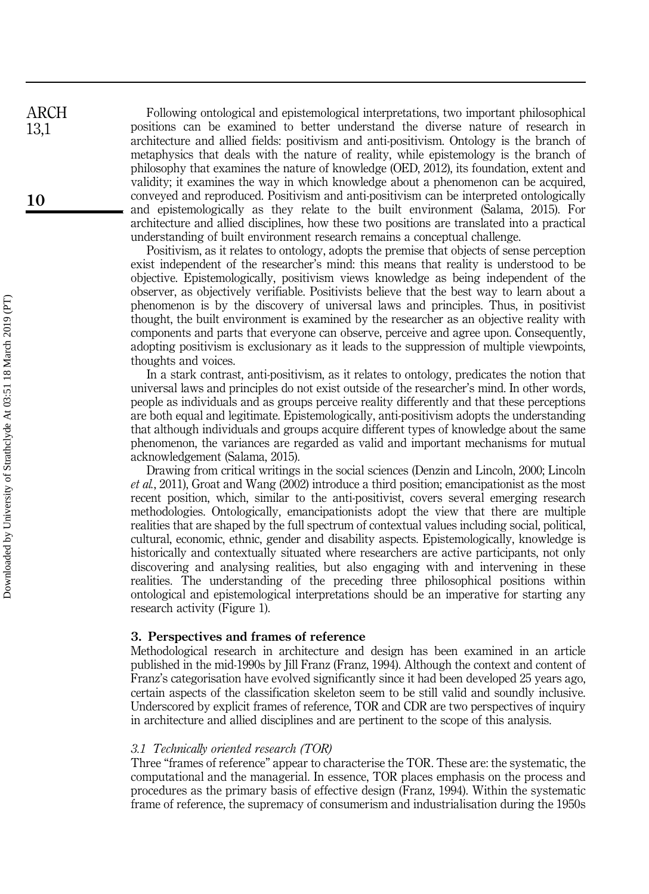Following ontological and epistemological interpretations, two important philosophical positions can be examined to better understand the diverse nature of research in architecture and allied fields: positivism and anti-positivism. Ontology is the branch of metaphysics that deals with the nature of reality, while epistemology is the branch of philosophy that examines the nature of knowledge (OED, 2012), its foundation, extent and validity; it examines the way in which knowledge about a phenomenon can be acquired, conveyed and reproduced. Positivism and anti-positivism can be interpreted ontologically and epistemologically as they relate to the built environment (Salama, 2015). For architecture and allied disciplines, how these two positions are translated into a practical understanding of built environment research remains a conceptual challenge.

Positivism, as it relates to ontology, adopts the premise that objects of sense perception exist independent of the researcher's mind: this means that reality is understood to be objective. Epistemologically, positivism views knowledge as being independent of the observer, as objectively verifiable. Positivists believe that the best way to learn about a phenomenon is by the discovery of universal laws and principles. Thus, in positivist thought, the built environment is examined by the researcher as an objective reality with components and parts that everyone can observe, perceive and agree upon. Consequently, adopting positivism is exclusionary as it leads to the suppression of multiple viewpoints, thoughts and voices.

In a stark contrast, anti-positivism, as it relates to ontology, predicates the notion that universal laws and principles do not exist outside of the researcher's mind. In other words, people as individuals and as groups perceive reality differently and that these perceptions are both equal and legitimate. Epistemologically, anti-positivism adopts the understanding that although individuals and groups acquire different types of knowledge about the same phenomenon, the variances are regarded as valid and important mechanisms for mutual acknowledgement (Salama, 2015).

Drawing from critical writings in the social sciences (Denzin and Lincoln, 2000; Lincoln et al., 2011), Groat and Wang (2002) introduce a third position; emancipationist as the most recent position, which, similar to the anti-positivist, covers several emerging research methodologies. Ontologically, emancipationists adopt the view that there are multiple realities that are shaped by the full spectrum of contextual values including social, political, cultural, economic, ethnic, gender and disability aspects. Epistemologically, knowledge is historically and contextually situated where researchers are active participants, not only discovering and analysing realities, but also engaging with and intervening in these realities. The understanding of the preceding three philosophical positions within ontological and epistemological interpretations should be an imperative for starting any research activity (Figure 1).

#### 3. Perspectives and frames of reference

Methodological research in architecture and design has been examined in an article published in the mid-1990s by Jill Franz (Franz, 1994). Although the context and content of Franz's categorisation have evolved significantly since it had been developed 25 years ago, certain aspects of the classification skeleton seem to be still valid and soundly inclusive. Underscored by explicit frames of reference, TOR and CDR are two perspectives of inquiry in architecture and allied disciplines and are pertinent to the scope of this analysis.

#### 3.1 Technically oriented research (TOR)

Three "frames of reference" appear to characterise the TOR. These are: the systematic, the computational and the managerial. In essence, TOR places emphasis on the process and procedures as the primary basis of effective design (Franz, 1994). Within the systematic frame of reference, the supremacy of consumerism and industrialisation during the 1950s

ARCH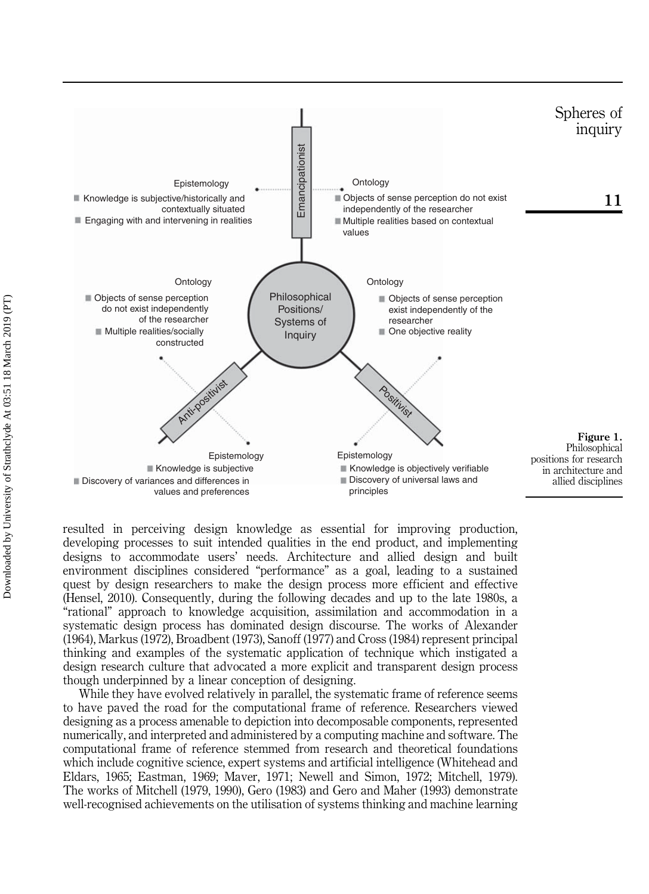

resulted in perceiving design knowledge as essential for improving production, developing processes to suit intended qualities in the end product, and implementing designs to accommodate users' needs. Architecture and allied design and built environment disciplines considered "performance" as a goal, leading to a sustained quest by design researchers to make the design process more efficient and effective (Hensel, 2010). Consequently, during the following decades and up to the late 1980s, a "rational" approach to knowledge acquisition, assimilation and accommodation in a systematic design process has dominated design discourse. The works of Alexander (1964), Markus (1972), Broadbent (1973), Sanoff (1977) and Cross (1984) represent principal thinking and examples of the systematic application of technique which instigated a design research culture that advocated a more explicit and transparent design process though underpinned by a linear conception of designing.

While they have evolved relatively in parallel, the systematic frame of reference seems to have paved the road for the computational frame of reference. Researchers viewed designing as a process amenable to depiction into decomposable components, represented numerically, and interpreted and administered by a computing machine and software. The computational frame of reference stemmed from research and theoretical foundations which include cognitive science, expert systems and artificial intelligence (Whitehead and Eldars, 1965; Eastman, 1969; Maver, 1971; Newell and Simon, 1972; Mitchell, 1979). The works of Mitchell (1979, 1990), Gero (1983) and Gero and Maher (1993) demonstrate well-recognised achievements on the utilisation of systems thinking and machine learning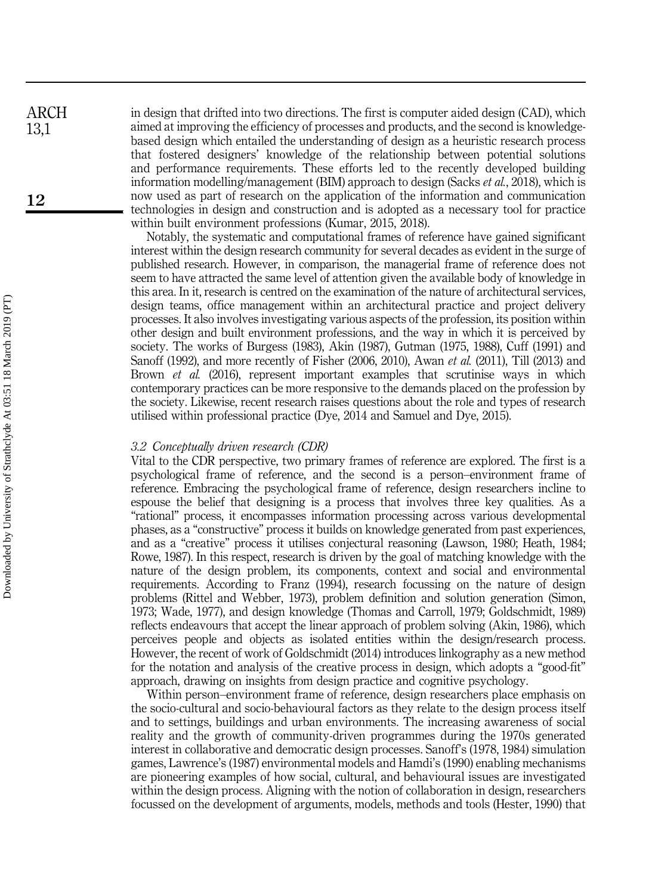in design that drifted into two directions. The first is computer aided design (CAD), which aimed at improving the efficiency of processes and products, and the second is knowledgebased design which entailed the understanding of design as a heuristic research process that fostered designers' knowledge of the relationship between potential solutions and performance requirements. These efforts led to the recently developed building information modelling/management (BIM) approach to design (Sacks et al., 2018), which is now used as part of research on the application of the information and communication technologies in design and construction and is adopted as a necessary tool for practice within built environment professions (Kumar, 2015, 2018).

Notably, the systematic and computational frames of reference have gained significant interest within the design research community for several decades as evident in the surge of published research. However, in comparison, the managerial frame of reference does not seem to have attracted the same level of attention given the available body of knowledge in this area. In it, research is centred on the examination of the nature of architectural services, design teams, office management within an architectural practice and project delivery processes. It also involves investigating various aspects of the profession, its position within other design and built environment professions, and the way in which it is perceived by society. The works of Burgess (1983), Akin (1987), Gutman (1975, 1988), Cuff (1991) and Sanoff (1992), and more recently of Fisher (2006, 2010), Awan et al. (2011), Till (2013) and Brown et al. (2016), represent important examples that scrutinise ways in which contemporary practices can be more responsive to the demands placed on the profession by the society. Likewise, recent research raises questions about the role and types of research utilised within professional practice (Dye, 2014 and Samuel and Dye, 2015).

#### 3.2 Conceptually driven research (CDR)

Vital to the CDR perspective, two primary frames of reference are explored. The first is a psychological frame of reference, and the second is a person–environment frame of reference. Embracing the psychological frame of reference, design researchers incline to espouse the belief that designing is a process that involves three key qualities. As a "rational" process, it encompasses information processing across various developmental phases, as a "constructive" process it builds on knowledge generated from past experiences, and as a "creative" process it utilises conjectural reasoning (Lawson, 1980; Heath, 1984; Rowe, 1987). In this respect, research is driven by the goal of matching knowledge with the nature of the design problem, its components, context and social and environmental requirements. According to Franz (1994), research focussing on the nature of design problems (Rittel and Webber, 1973), problem definition and solution generation (Simon, 1973; Wade, 1977), and design knowledge (Thomas and Carroll, 1979; Goldschmidt, 1989) reflects endeavours that accept the linear approach of problem solving (Akin, 1986), which perceives people and objects as isolated entities within the design/research process. However, the recent of work of Goldschmidt (2014) introduces linkography as a new method for the notation and analysis of the creative process in design, which adopts a "good-fit" approach, drawing on insights from design practice and cognitive psychology.

Within person–environment frame of reference, design researchers place emphasis on the socio-cultural and socio-behavioural factors as they relate to the design process itself and to settings, buildings and urban environments. The increasing awareness of social reality and the growth of community-driven programmes during the 1970s generated interest in collaborative and democratic design processes. Sanoff's (1978, 1984) simulation games, Lawrence's (1987) environmental models and Hamdi's (1990) enabling mechanisms are pioneering examples of how social, cultural, and behavioural issues are investigated within the design process. Aligning with the notion of collaboration in design, researchers focussed on the development of arguments, models, methods and tools (Hester, 1990) that

ARCH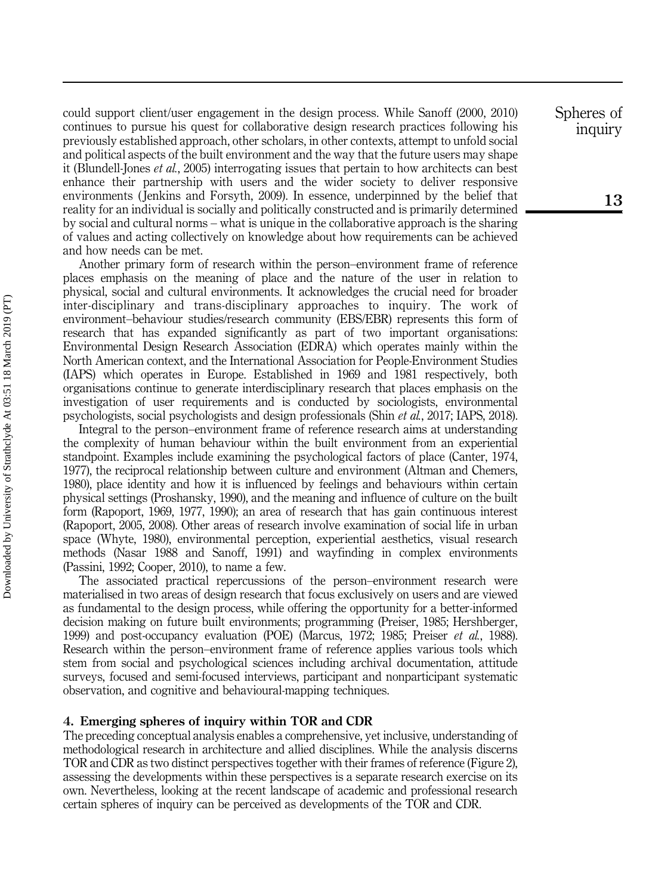could support client/user engagement in the design process. While Sanoff (2000, 2010) continues to pursue his quest for collaborative design research practices following his previously established approach, other scholars, in other contexts, attempt to unfold social and political aspects of the built environment and the way that the future users may shape it (Blundell-Jones et al., 2005) interrogating issues that pertain to how architects can best enhance their partnership with users and the wider society to deliver responsive environments ( Jenkins and Forsyth, 2009). In essence, underpinned by the belief that reality for an individual is socially and politically constructed and is primarily determined by social and cultural norms – what is unique in the collaborative approach is the sharing of values and acting collectively on knowledge about how requirements can be achieved and how needs can be met.

Another primary form of research within the person–environment frame of reference places emphasis on the meaning of place and the nature of the user in relation to physical, social and cultural environments. It acknowledges the crucial need for broader inter-disciplinary and trans-disciplinary approaches to inquiry. The work of environment–behaviour studies/research community (EBS/EBR) represents this form of research that has expanded significantly as part of two important organisations: Environmental Design Research Association (EDRA) which operates mainly within the North American context, and the International Association for People-Environment Studies (IAPS) which operates in Europe. Established in 1969 and 1981 respectively, both organisations continue to generate interdisciplinary research that places emphasis on the investigation of user requirements and is conducted by sociologists, environmental psychologists, social psychologists and design professionals (Shin et al., 2017; IAPS, 2018).

Integral to the person–environment frame of reference research aims at understanding the complexity of human behaviour within the built environment from an experiential standpoint. Examples include examining the psychological factors of place (Canter, 1974, 1977), the reciprocal relationship between culture and environment (Altman and Chemers, 1980), place identity and how it is influenced by feelings and behaviours within certain physical settings (Proshansky, 1990), and the meaning and influence of culture on the built form (Rapoport, 1969, 1977, 1990); an area of research that has gain continuous interest (Rapoport, 2005, 2008). Other areas of research involve examination of social life in urban space (Whyte, 1980), environmental perception, experiential aesthetics, visual research methods (Nasar 1988 and Sanoff, 1991) and wayfinding in complex environments (Passini, 1992; Cooper, 2010), to name a few.

The associated practical repercussions of the person–environment research were materialised in two areas of design research that focus exclusively on users and are viewed as fundamental to the design process, while offering the opportunity for a better-informed decision making on future built environments; programming (Preiser, 1985; Hershberger, 1999) and post-occupancy evaluation (POE) (Marcus, 1972; 1985; Preiser et al., 1988). Research within the person–environment frame of reference applies various tools which stem from social and psychological sciences including archival documentation, attitude surveys, focused and semi-focused interviews, participant and nonparticipant systematic observation, and cognitive and behavioural-mapping techniques.

#### 4. Emerging spheres of inquiry within TOR and CDR

The preceding conceptual analysis enables a comprehensive, yet inclusive, understanding of methodological research in architecture and allied disciplines. While the analysis discerns TOR and CDR as two distinct perspectives together with their frames of reference (Figure 2), assessing the developments within these perspectives is a separate research exercise on its own. Nevertheless, looking at the recent landscape of academic and professional research certain spheres of inquiry can be perceived as developments of the TOR and CDR.

Spheres of inquiry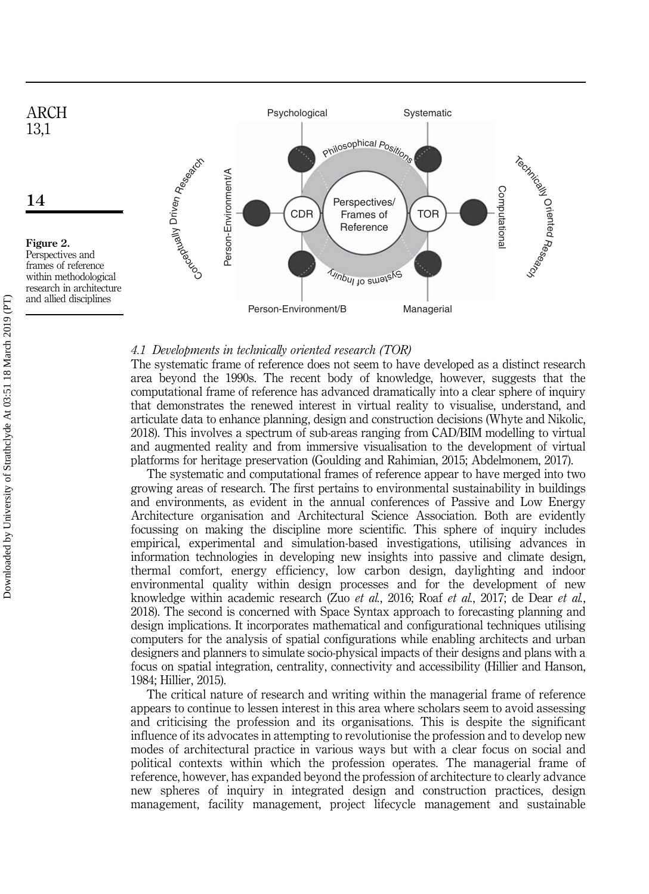

#### 4.1 Developments in technically oriented research (TOR)

The systematic frame of reference does not seem to have developed as a distinct research area beyond the 1990s. The recent body of knowledge, however, suggests that the computational frame of reference has advanced dramatically into a clear sphere of inquiry that demonstrates the renewed interest in virtual reality to visualise, understand, and articulate data to enhance planning, design and construction decisions (Whyte and Nikolic, 2018). This involves a spectrum of sub-areas ranging from CAD/BIM modelling to virtual and augmented reality and from immersive visualisation to the development of virtual platforms for heritage preservation (Goulding and Rahimian, 2015; Abdelmonem, 2017).

The systematic and computational frames of reference appear to have merged into two growing areas of research. The first pertains to environmental sustainability in buildings and environments, as evident in the annual conferences of Passive and Low Energy Architecture organisation and Architectural Science Association. Both are evidently focussing on making the discipline more scientific. This sphere of inquiry includes empirical, experimental and simulation-based investigations, utilising advances in information technologies in developing new insights into passive and climate design, thermal comfort, energy efficiency, low carbon design, daylighting and indoor environmental quality within design processes and for the development of new knowledge within academic research (Zuo *et al.*, 2016; Roaf *et al.*, 2017; de Dear *et al.*, 2018). The second is concerned with Space Syntax approach to forecasting planning and design implications. It incorporates mathematical and configurational techniques utilising computers for the analysis of spatial configurations while enabling architects and urban designers and planners to simulate socio-physical impacts of their designs and plans with a focus on spatial integration, centrality, connectivity and accessibility (Hillier and Hanson, 1984; Hillier, 2015).

The critical nature of research and writing within the managerial frame of reference appears to continue to lessen interest in this area where scholars seem to avoid assessing and criticising the profession and its organisations. This is despite the significant influence of its advocates in attempting to revolutionise the profession and to develop new modes of architectural practice in various ways but with a clear focus on social and political contexts within which the profession operates. The managerial frame of reference, however, has expanded beyond the profession of architecture to clearly advance new spheres of inquiry in integrated design and construction practices, design management, facility management, project lifecycle management and sustainable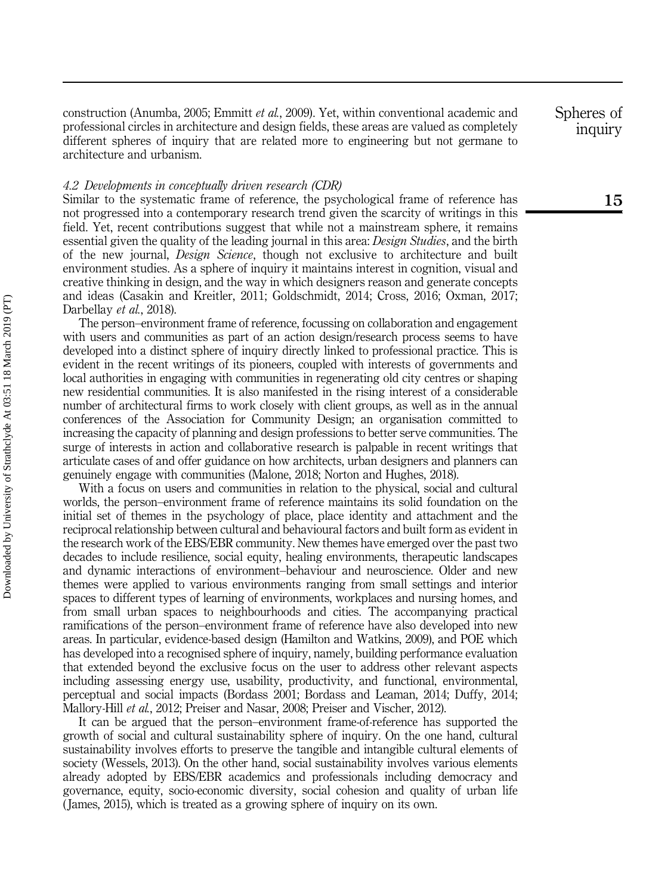construction (Anumba, 2005; Emmitt et al., 2009). Yet, within conventional academic and professional circles in architecture and design fields, these areas are valued as completely different spheres of inquiry that are related more to engineering but not germane to architecture and urbanism.

#### 4.2 Developments in conceptually driven research (CDR)

Similar to the systematic frame of reference, the psychological frame of reference has not progressed into a contemporary research trend given the scarcity of writings in this field. Yet, recent contributions suggest that while not a mainstream sphere, it remains essential given the quality of the leading journal in this area: *Design Studies*, and the birth of the new journal, *Design Science*, though not exclusive to architecture and built environment studies. As a sphere of inquiry it maintains interest in cognition, visual and creative thinking in design, and the way in which designers reason and generate concepts and ideas (Casakin and Kreitler, 2011; Goldschmidt, 2014; Cross, 2016; Oxman, 2017; Darbellay et al., 2018).

The person–environment frame of reference, focussing on collaboration and engagement with users and communities as part of an action design/research process seems to have developed into a distinct sphere of inquiry directly linked to professional practice. This is evident in the recent writings of its pioneers, coupled with interests of governments and local authorities in engaging with communities in regenerating old city centres or shaping new residential communities. It is also manifested in the rising interest of a considerable number of architectural firms to work closely with client groups, as well as in the annual conferences of the Association for Community Design; an organisation committed to increasing the capacity of planning and design professions to better serve communities. The surge of interests in action and collaborative research is palpable in recent writings that articulate cases of and offer guidance on how architects, urban designers and planners can genuinely engage with communities (Malone, 2018; Norton and Hughes, 2018).

With a focus on users and communities in relation to the physical, social and cultural worlds, the person–environment frame of reference maintains its solid foundation on the initial set of themes in the psychology of place, place identity and attachment and the reciprocal relationship between cultural and behavioural factors and built form as evident in the research work of the EBS/EBR community. New themes have emerged over the past two decades to include resilience, social equity, healing environments, therapeutic landscapes and dynamic interactions of environment–behaviour and neuroscience. Older and new themes were applied to various environments ranging from small settings and interior spaces to different types of learning of environments, workplaces and nursing homes, and from small urban spaces to neighbourhoods and cities. The accompanying practical ramifications of the person–environment frame of reference have also developed into new areas. In particular, evidence-based design (Hamilton and Watkins, 2009), and POE which has developed into a recognised sphere of inquiry, namely, building performance evaluation that extended beyond the exclusive focus on the user to address other relevant aspects including assessing energy use, usability, productivity, and functional, environmental, perceptual and social impacts (Bordass 2001; Bordass and Leaman, 2014; Duffy, 2014; Mallory-Hill et al., 2012; Preiser and Nasar, 2008; Preiser and Vischer, 2012).

It can be argued that the person–environment frame-of-reference has supported the growth of social and cultural sustainability sphere of inquiry. On the one hand, cultural sustainability involves efforts to preserve the tangible and intangible cultural elements of society (Wessels, 2013). On the other hand, social sustainability involves various elements already adopted by EBS/EBR academics and professionals including democracy and governance, equity, socio-economic diversity, social cohesion and quality of urban life ( James, 2015), which is treated as a growing sphere of inquiry on its own.

Spheres of inquiry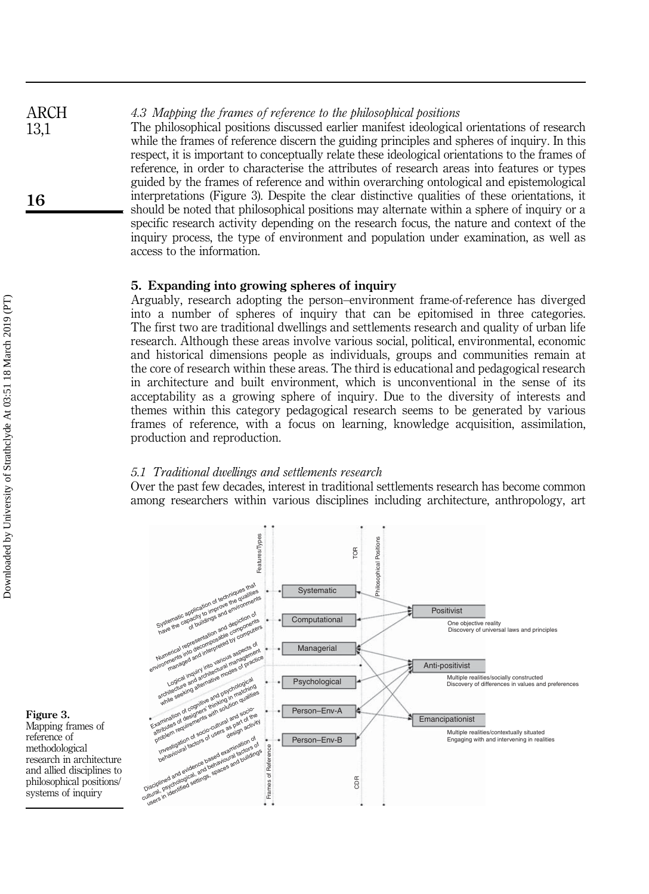4.3 Mapping the frames of reference to the philosophical positions The philosophical positions discussed earlier manifest ideological orientations of research while the frames of reference discern the guiding principles and spheres of inquiry. In this respect, it is important to conceptually relate these ideological orientations to the frames of reference, in order to characterise the attributes of research areas into features or types guided by the frames of reference and within overarching ontological and epistemological interpretations (Figure 3). Despite the clear distinctive qualities of these orientations, it should be noted that philosophical positions may alternate within a sphere of inquiry or a specific research activity depending on the research focus, the nature and context of the inquiry process, the type of environment and population under examination, as well as access to the information. ARCH

#### 5. Expanding into growing spheres of inquiry

Arguably, research adopting the person–environment frame-of-reference has diverged into a number of spheres of inquiry that can be epitomised in three categories. The first two are traditional dwellings and settlements research and quality of urban life research. Although these areas involve various social, political, environmental, economic and historical dimensions people as individuals, groups and communities remain at the core of research within these areas. The third is educational and pedagogical research in architecture and built environment, which is unconventional in the sense of its acceptability as a growing sphere of inquiry. Due to the diversity of interests and themes within this category pedagogical research seems to be generated by various frames of reference, with a focus on learning, knowledge acquisition, assimilation, production and reproduction.

#### 5.1 Traditional dwellings and settlements research

Over the past few decades, interest in traditional settlements research has become common among researchers within various disciplines including architecture, anthropology, art



Figure 3. Mapping frames of reference of methodological research in architecture and allied disciplines to philosophical positions/ systems of inquiry

16

13,1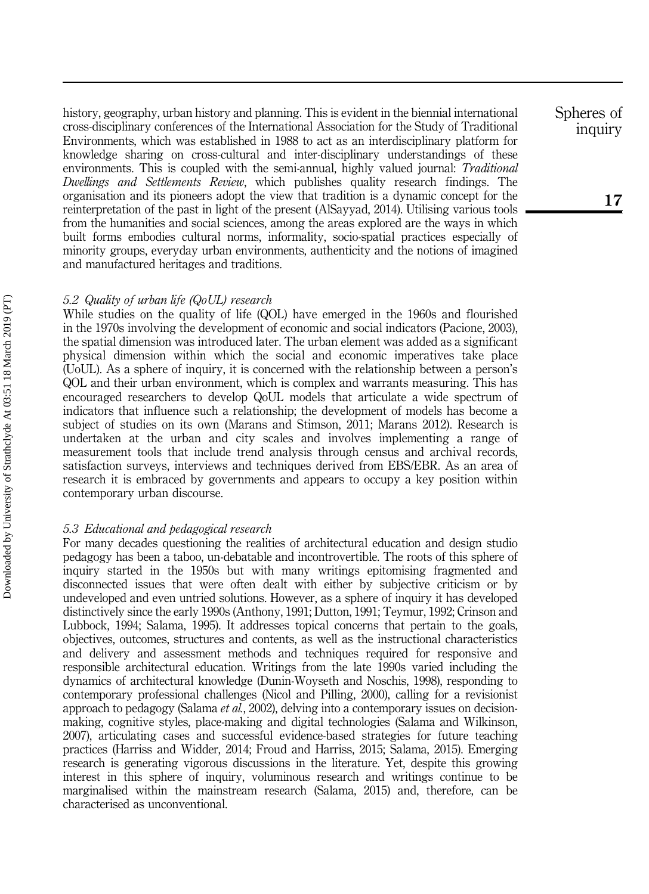history, geography, urban history and planning. This is evident in the biennial international cross-disciplinary conferences of the International Association for the Study of Traditional Environments, which was established in 1988 to act as an interdisciplinary platform for knowledge sharing on cross-cultural and inter-disciplinary understandings of these environments. This is coupled with the semi-annual, highly valued journal: Traditional Dwellings and Settlements Review, which publishes quality research findings. The organisation and its pioneers adopt the view that tradition is a dynamic concept for the reinterpretation of the past in light of the present (AlSayyad, 2014). Utilising various tools from the humanities and social sciences, among the areas explored are the ways in which built forms embodies cultural norms, informality, socio-spatial practices especially of minority groups, everyday urban environments, authenticity and the notions of imagined and manufactured heritages and traditions.

#### 5.2 Quality of urban life (QoUL) research

While studies on the quality of life (QOL) have emerged in the 1960s and flourished in the 1970s involving the development of economic and social indicators (Pacione, 2003), the spatial dimension was introduced later. The urban element was added as a significant physical dimension within which the social and economic imperatives take place (UoUL). As a sphere of inquiry, it is concerned with the relationship between a person's QOL and their urban environment, which is complex and warrants measuring. This has encouraged researchers to develop QoUL models that articulate a wide spectrum of indicators that influence such a relationship; the development of models has become a subject of studies on its own (Marans and Stimson, 2011; Marans 2012). Research is undertaken at the urban and city scales and involves implementing a range of measurement tools that include trend analysis through census and archival records, satisfaction surveys, interviews and techniques derived from EBS/EBR. As an area of research it is embraced by governments and appears to occupy a key position within contemporary urban discourse.

#### 5.3 Educational and pedagogical research

For many decades questioning the realities of architectural education and design studio pedagogy has been a taboo, un-debatable and incontrovertible. The roots of this sphere of inquiry started in the 1950s but with many writings epitomising fragmented and disconnected issues that were often dealt with either by subjective criticism or by undeveloped and even untried solutions. However, as a sphere of inquiry it has developed distinctively since the early 1990s (Anthony, 1991; Dutton, 1991; Teymur, 1992; Crinson and Lubbock, 1994; Salama, 1995). It addresses topical concerns that pertain to the goals, objectives, outcomes, structures and contents, as well as the instructional characteristics and delivery and assessment methods and techniques required for responsive and responsible architectural education. Writings from the late 1990s varied including the dynamics of architectural knowledge (Dunin-Woyseth and Noschis, 1998), responding to contemporary professional challenges (Nicol and Pilling, 2000), calling for a revisionist approach to pedagogy (Salama *et al.*, 2002), delving into a contemporary issues on decisionmaking, cognitive styles, place-making and digital technologies (Salama and Wilkinson, 2007), articulating cases and successful evidence-based strategies for future teaching practices (Harriss and Widder, 2014; Froud and Harriss, 2015; Salama, 2015). Emerging research is generating vigorous discussions in the literature. Yet, despite this growing interest in this sphere of inquiry, voluminous research and writings continue to be marginalised within the mainstream research (Salama, 2015) and, therefore, can be characterised as unconventional.

Spheres of inquiry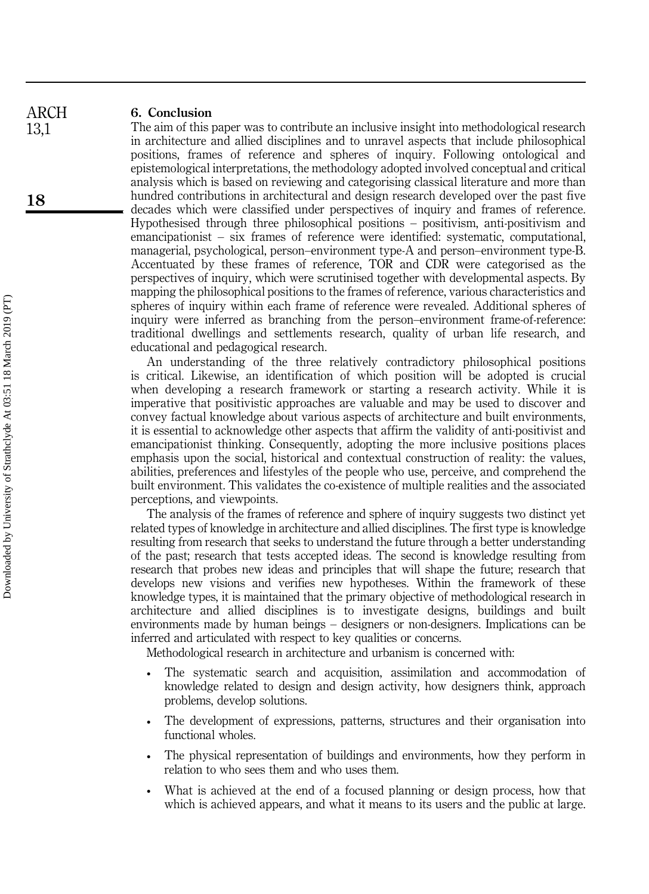#### 6. Conclusion ARCH

The aim of this paper was to contribute an inclusive insight into methodological research in architecture and allied disciplines and to unravel aspects that include philosophical positions, frames of reference and spheres of inquiry. Following ontological and epistemological interpretations, the methodology adopted involved conceptual and critical analysis which is based on reviewing and categorising classical literature and more than hundred contributions in architectural and design research developed over the past five decades which were classified under perspectives of inquiry and frames of reference. Hypothesised through three philosophical positions – positivism, anti-positivism and emancipationist – six frames of reference were identified: systematic, computational, managerial, psychological, person–environment type-A and person–environment type-B. Accentuated by these frames of reference, TOR and CDR were categorised as the perspectives of inquiry, which were scrutinised together with developmental aspects. By mapping the philosophical positions to the frames of reference, various characteristics and spheres of inquiry within each frame of reference were revealed. Additional spheres of inquiry were inferred as branching from the person–environment frame-of-reference: traditional dwellings and settlements research, quality of urban life research, and educational and pedagogical research.

An understanding of the three relatively contradictory philosophical positions is critical. Likewise, an identification of which position will be adopted is crucial when developing a research framework or starting a research activity. While it is imperative that positivistic approaches are valuable and may be used to discover and convey factual knowledge about various aspects of architecture and built environments, it is essential to acknowledge other aspects that affirm the validity of anti-positivist and emancipationist thinking. Consequently, adopting the more inclusive positions places emphasis upon the social, historical and contextual construction of reality: the values, abilities, preferences and lifestyles of the people who use, perceive, and comprehend the built environment. This validates the co-existence of multiple realities and the associated perceptions, and viewpoints.

The analysis of the frames of reference and sphere of inquiry suggests two distinct yet related types of knowledge in architecture and allied disciplines. The first type is knowledge resulting from research that seeks to understand the future through a better understanding of the past; research that tests accepted ideas. The second is knowledge resulting from research that probes new ideas and principles that will shape the future; research that develops new visions and verifies new hypotheses. Within the framework of these knowledge types, it is maintained that the primary objective of methodological research in architecture and allied disciplines is to investigate designs, buildings and built environments made by human beings – designers or non-designers. Implications can be inferred and articulated with respect to key qualities or concerns.

Methodological research in architecture and urbanism is concerned with:

- The systematic search and acquisition, assimilation and accommodation of knowledge related to design and design activity, how designers think, approach problems, develop solutions.
- The development of expressions, patterns, structures and their organisation into functional wholes.
- The physical representation of buildings and environments, how they perform in relation to who sees them and who uses them.
- What is achieved at the end of a focused planning or design process, how that which is achieved appears, and what it means to its users and the public at large.

18

13,1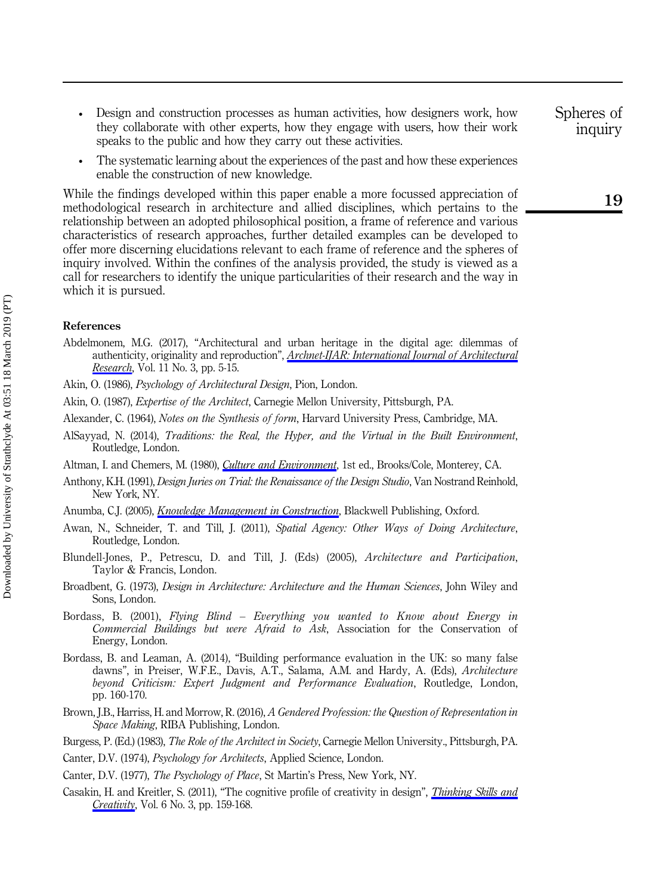- Design and construction processes as human activities, how designers work, how they collaborate with other experts, how they engage with users, how their work speaks to the public and how they carry out these activities.
- The systematic learning about the experiences of the past and how these experiences enable the construction of new knowledge.

While the findings developed within this paper enable a more focussed appreciation of methodological research in architecture and allied disciplines, which pertains to the relationship between an adopted philosophical position, a frame of reference and various characteristics of research approaches, further detailed examples can be developed to offer more discerning elucidations relevant to each frame of reference and the spheres of inquiry involved. Within the confines of the analysis provided, the study is viewed as a call for researchers to identify the unique particularities of their research and the way in which it is pursued.

#### References

- Abdelmonem, M.G. (2017), "Architectural and urban heritage in the digital age: dilemmas of authenticity, originality and reproduction", [Archnet-IJAR: International Journal of Architectural](https://www.emeraldinsight.com/action/showLinks?doi=10.1108%2FARCH-01-2019-0012&crossref=10.26687%2Farchnet-ijar.v11i3.1415&citationId=p_1) [Research](https://www.emeraldinsight.com/action/showLinks?doi=10.1108%2FARCH-01-2019-0012&crossref=10.26687%2Farchnet-ijar.v11i3.1415&citationId=p_1), Vol. 11 No. 3, pp. 5-15.
- Akin, O. (1986), Psychology of Architectural Design, Pion, London.
- Akin, O. (1987), Expertise of the Architect, Carnegie Mellon University, Pittsburgh, PA.
- Alexander, C. (1964), *Notes on the Synthesis of form*, Harvard University Press, Cambridge, MA.
- AlSayyad, N. (2014), Traditions: the Real, the Hyper, and the Virtual in the Built Environment, Routledge, London.
- Altman, I. and Chemers, M. (1980), *[Culture and Environment](https://www.emeraldinsight.com/action/showLinks?doi=10.1108%2FARCH-01-2019-0012&crossref=10.1007%2F978-1-4899-0451-5&citationId=p_6)*, 1st ed., Brooks/Cole, Monterey, CA.
- Anthony, K.H. (1991), *Design Juries on Trial: the Renaissance of the Design Studio*, Van Nostrand Reinhold, New York, NY.
- Anumba, C.J. (2005), *[Knowledge Management in Construction](https://www.emeraldinsight.com/action/showLinks?doi=10.1108%2FARCH-01-2019-0012&crossref=10.1002%2F9780470759554&citationId=p_8)*, Blackwell Publishing, Oxford.
- Awan, N., Schneider, T. and Till, J. (2011), Spatial Agency: Other Ways of Doing Architecture, Routledge, London.
- Blundell-Jones, P., Petrescu, D. and Till, J. (Eds) (2005), *Architecture and Participation*, Taylor & Francis, London.
- Broadbent, G. (1973), *Design in Architecture: Architecture and the Human Sciences*, John Wiley and Sons, London.
- Bordass, B. (2001), Flying Blind Everything you wanted to Know about Energy in Commercial Buildings but were Afraid to Ask, Association for the Conservation of Energy, London.
- Bordass, B. and Leaman, A. (2014), "Building performance evaluation in the UK: so many false dawns", in Preiser, W.F.E., Davis, A.T., Salama, A.M. and Hardy, A. (Eds), *Architecture* beyond Criticism: Expert Judgment and Performance Evaluation, Routledge, London, pp. 160-170.
- Brown, J.B., Harriss, H. and Morrow, R. (2016), A Gendered Profession: the Question of Representation in Space Making, RIBA Publishing, London.

- Canter, D.V. (1974), Psychology for Architects, Applied Science, London.
- Canter, D.V. (1977), The Psychology of Place, St Martin's Press, New York, NY.
- Casakin, H. and Kreitler, S. (2011), "The cognitive profile of creativity in design", *[Thinking Skills and](https://www.emeraldinsight.com/action/showLinks?doi=10.1108%2FARCH-01-2019-0012&crossref=10.1016%2Fj.tsc.2011.06.001&citationId=p_18)* **[Creativity](https://www.emeraldinsight.com/action/showLinks?doi=10.1108%2FARCH-01-2019-0012&crossref=10.1016%2Fj.tsc.2011.06.001&citationId=p_18)**, Vol. 6 No. 3, pp. 159-168.

Burgess, P. (Ed.) (1983), *The Role of the Architect in Society*, Carnegie Mellon University., Pittsburgh, PA.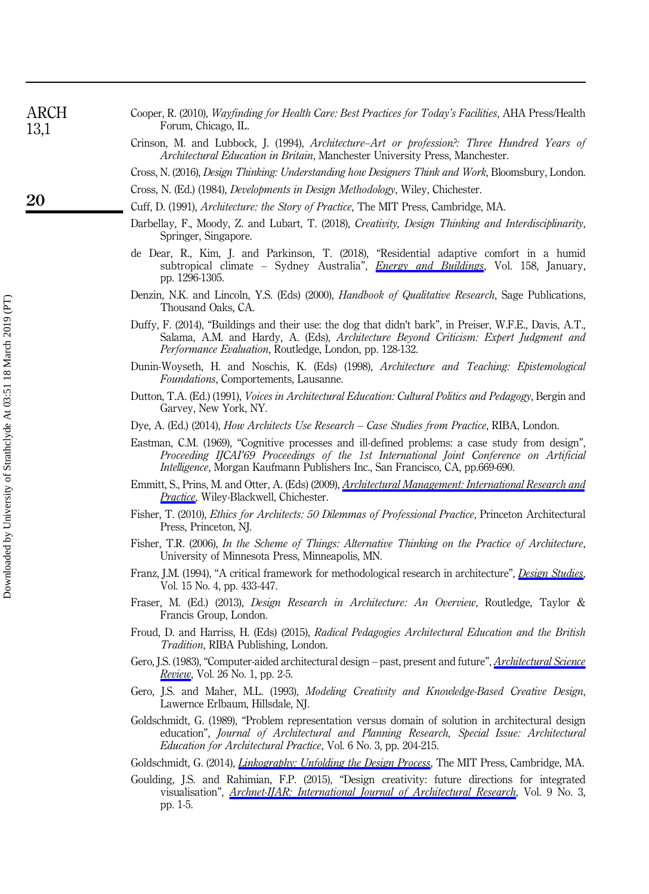| <b>ARCH</b><br>13,1 | Cooper, R. (2010), Wayfinding for Health Care: Best Practices for Today's Facilities, AHA Press/Health<br>Forum, Chicago, IL.                                                                                                                                                       |
|---------------------|-------------------------------------------------------------------------------------------------------------------------------------------------------------------------------------------------------------------------------------------------------------------------------------|
|                     | Crinson, M. and Lubbock, J. (1994), Architecture–Art or profession?: Three Hundred Years of<br>Architectural Education in Britain, Manchester University Press, Manchester.                                                                                                         |
|                     | Cross, N. (2016), Design Thinking: Understanding how Designers Think and Work, Bloomsbury, London.                                                                                                                                                                                  |
|                     | Cross, N. (Ed.) (1984), <i>Developments in Design Methodology</i> , Wiley, Chichester.                                                                                                                                                                                              |
| 20                  | Cuff, D. (1991), <i>Architecture: the Story of Practice</i> , The MIT Press, Cambridge, MA.                                                                                                                                                                                         |
|                     | Darbellay, F., Moody, Z. and Lubart, T. (2018), Creativity, Design Thinking and Interdisciplinarity,<br>Springer, Singapore.                                                                                                                                                        |
|                     | de Dear, R., Kim, J. and Parkinson, T. (2018), "Residential adaptive comfort in a humid<br>subtropical climate - Sydney Australia", <i>Energy and Buildings</i> , Vol. 158, January,<br>pp. 1296-1305.                                                                              |
|                     | Denzin, N.K. and Lincoln, Y.S. (Eds) (2000), <i>Handbook of Qualitative Research</i> , Sage Publications,<br>Thousand Oaks, CA.                                                                                                                                                     |
|                     | Duffy, F. (2014), "Buildings and their use: the dog that didn't bark", in Preiser, W.F.E., Davis, A.T.,<br>Salama, A.M. and Hardy, A. (Eds), Architecture Beyond Criticism: Expert Judgment and<br>Performance Evaluation, Routledge, London, pp. 128-132.                          |
|                     | Dunin-Woyseth, H. and Noschis, K. (Eds) (1998), Architecture and Teaching: Epistemological<br>Foundations, Comportements, Lausanne.                                                                                                                                                 |
|                     | Dutton, T.A. (Ed.) (1991), <i>Voices in Architectural Education: Cultural Politics and Pedagogy</i> , Bergin and<br>Garvey, New York, NY.                                                                                                                                           |
|                     | Dye, A. (Ed.) (2014), <i>How Architects Use Research – Case Studies from Practice</i> , RIBA, London.                                                                                                                                                                               |
|                     | Eastman, C.M. (1969), "Cognitive processes and ill-defined problems: a case study from design",<br>Proceeding IJCAI'69 Proceedings of the 1st International Joint Conference on Artificial<br><i>Intelligence</i> , Morgan Kaufmann Publishers Inc., San Francisco, CA, pp.669-690. |
|                     | Emmitt, S., Prins, M. and Otter, A. (Eds) (2009), <i>Architectural Management: International Research and</i><br><b>Practice</b> , Wiley-Blackwell, Chichester.                                                                                                                     |
|                     | Fisher, T. (2010), <i>Ethics for Architects: 50 Dilemmas of Professional Practice</i> , Princeton Architectural<br>Press, Princeton, NJ.                                                                                                                                            |
|                     | Fisher, T.R. (2006), In the Scheme of Things: Alternative Thinking on the Practice of Architecture,<br>University of Minnesota Press, Minneapolis, MN.                                                                                                                              |
|                     | Franz, J.M. (1994), "A critical framework for methodological research in architecture", <i>Design Studies</i> ,<br>Vol. 15 No. 4, pp. 433-447.                                                                                                                                      |
|                     | Fraser, M. (Ed.) (2013), <i>Design Research in Architecture: An Overview</i> , Routledge, Taylor &<br>Francis Group, London.                                                                                                                                                        |
|                     | Froud, D. and Harriss, H. (Eds) (2015), Radical Pedagogies Architectural Education and the British<br><i>Tradition</i> , RIBA Publishing, London.                                                                                                                                   |
|                     | Gero, J.S. (1983), "Computer-aided architectural design – past, present and future", <i>Architectural Science</i><br>Review, Vol. 26 No. 1, pp. 2-5.                                                                                                                                |
|                     | Gero, J.S. and Maher, M.L. (1993), Modeling Creativity and Knowledge-Based Creative Design,<br>Lawernce Erlbaum, Hillsdale, NJ.                                                                                                                                                     |
|                     | Goldschmidt, G. (1989), "Problem representation versus domain of solution in architectural design<br>education", Journal of Architectural and Planning Research, Special Issue: Architectural<br><i>Education for Architectural Practice, Vol. 6 No. 3, pp. 204-215.</i>            |
|                     | Goldschmidt, G. (2014), <i>Linkography: Unfolding the Design Process</i> , The MIT Press, Cambridge, MA.                                                                                                                                                                            |
|                     | Goulding, J.S. and Rahimian, F.P. (2015), "Design creativity: future directions for integrated<br>visualisation", Archnet-IJAR: International Journal of Architectural Research, Vol. 9 No. 3,                                                                                      |

pp. 1-5.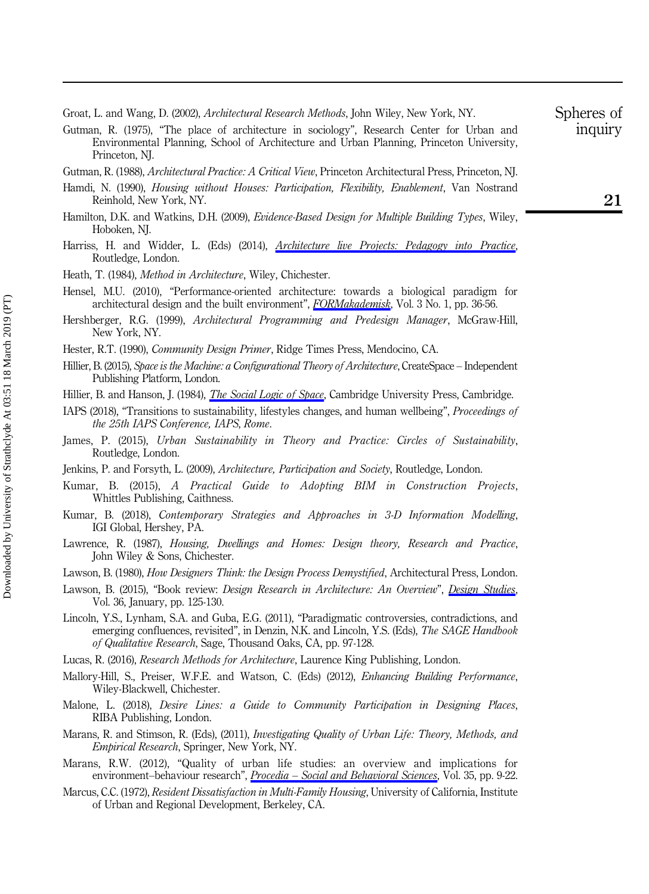Groat, L. and Wang, D. (2002), Architectural Research Methods, John Wiley, New York, NY.

Gutman, R. (1975), "The place of architecture in sociology", Research Center for Urban and Environmental Planning, School of Architecture and Urban Planning, Princeton University, Princeton, NJ.

Gutman, R. (1988), *Architectural Practice: A Critical View*, Princeton Architectural Press, Princeton, NJ.

- Hamdi, N. (1990), Housing without Houses: Participation, Flexibility, Enablement, Van Nostrand Reinhold, New York, NY.
- Hamilton, D.K. and Watkins, D.H. (2009), *Evidence-Based Design for Multiple Building Types*, Wiley, Hoboken, NJ.
- Harriss, H. and Widder, L. (Eds) (2014), *[Architecture live Projects: Pedagogy into Practice](https://www.emeraldinsight.com/action/showLinks?doi=10.1108%2FARCH-01-2019-0012&crossref=10.4324%2F9781315780764&citationId=p_48)*. Routledge, London.

Heath, T. (1984), Method in Architecture, Wiley, Chichester.

- Hensel, M.U. (2010), "Performance-oriented architecture: towards a biological paradigm for architectural design and the built environment", [FORMakademisk](https://www.emeraldinsight.com/action/showLinks?doi=10.1108%2FARCH-01-2019-0012&crossref=10.7577%2Fformakademisk.138&citationId=p_50), Vol. 3 No. 1, pp. 36-56.
- Hershberger, R.G. (1999), Architectural Programming and Predesign Manager, McGraw-Hill, New York, NY.
- Hester, R.T. (1990), Community Design Primer, Ridge Times Press, Mendocino, CA.
- Hillier, B. (2015), Space is the Machine: a Configurational Theory of Architecture, CreateSpace Independent Publishing Platform, London.
- Hillier, B. and Hanson, J. (1984), *[The Social Logic of Space](https://www.emeraldinsight.com/action/showLinks?doi=10.1108%2FARCH-01-2019-0012&crossref=10.1017%2FCBO9780511597237&citationId=p_54)*, Cambridge University Press, Cambridge.
- IAPS (2018), "Transitions to sustainability, lifestyles changes, and human wellbeing", Proceedings of the 25th IAPS Conference, IAPS, Rome.
- James, P. (2015), Urban Sustainability in Theory and Practice: Circles of Sustainability, Routledge, London.
- Jenkins, P. and Forsyth, L. (2009), Architecture, Participation and Society, Routledge, London.
- Kumar, B. (2015), A Practical Guide to Adopting BIM in Construction Projects, Whittles Publishing, Caithness.
- Kumar, B. (2018), Contemporary Strategies and Approaches in 3-D Information Modelling, IGI Global, Hershey, PA.
- Lawrence, R. (1987), Housing, Dwellings and Homes: Design theory, Research and Practice, John Wiley & Sons, Chichester.
- Lawson, B. (1980), How Designers Think: the Design Process Demystified, Architectural Press, London.
- Lawson, B. (2015), "Book review: *Design Research in Architecture: An Overview*", *[Design Studies](https://www.emeraldinsight.com/action/showLinks?doi=10.1108%2FARCH-01-2019-0012&crossref=10.1016%2Fj.destud.2014.11.002&citationId=p_62)*, Vol. 36, January, pp. 125-130.
- Lincoln, Y.S., Lynham, S.A. and Guba, E.G. (2011), "Paradigmatic controversies, contradictions, and emerging confluences, revisited", in Denzin, N.K. and Lincoln, Y.S. (Eds), The SAGE Handbook of Qualitative Research, Sage, Thousand Oaks, CA, pp. 97-128.
- Lucas, R. (2016), Research Methods for Architecture, Laurence King Publishing, London.
- Mallory-Hill, S., Preiser, W.F.E. and Watson, C. (Eds) (2012), *Enhancing Building Performance*, Wiley-Blackwell, Chichester.
- Malone, L. (2018), Desire Lines: a Guide to Community Participation in Designing Places, RIBA Publishing, London.
- Marans, R. and Stimson, R. (Eds), (2011), *Investigating Quality of Urban Life: Theory, Methods, and* Empirical Research, Springer, New York, NY.
- Marans, R.W. (2012), "Quality of urban life studies: an overview and implications for environment–behaviour research", Procedia – [Social and Behavioral Sciences](https://www.emeraldinsight.com/action/showLinks?doi=10.1108%2FARCH-01-2019-0012&crossref=10.1016%2Fj.sbspro.2012.02.058&citationId=p_68), Vol. 35, pp. 9-22.
- Marcus, C.C. (1972), *Resident Dissatisfaction in Multi-Family Housing*, University of California, Institute of Urban and Regional Development, Berkeley, CA.

Spheres of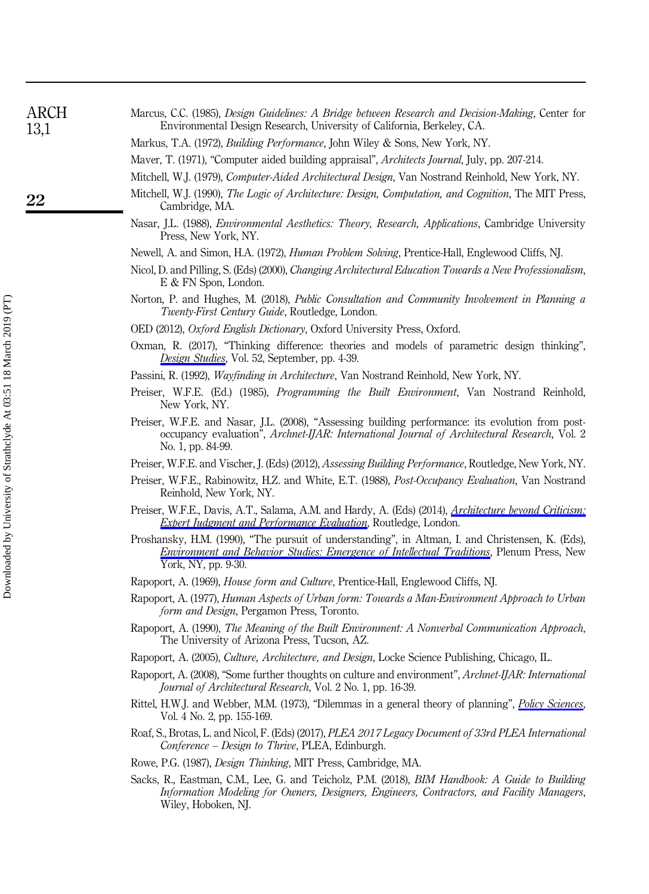| Markus, T.A. (1972), <i>Building Performance</i> , John Wiley & Sons, New York, NY.<br>Maver, T. (1971), "Computer aided building appraisal", <i>Architects Journal</i> , July, pp. 207-214.<br>Mitchell, W.J. (1979), Computer-Aided Architectural Design, Van Nostrand Reinhold, New York, NY.<br>Mitchell, W.J. (1990), The Logic of Architecture: Design, Computation, and Cognition, The MIT Press.<br>Cambridge, MA.<br>Nasar, J.L. (1988), <i>Environmental Aesthetics: Theory, Research, Applications</i> , Cambridge University<br>Press, New York, NY.<br>Newell, A. and Simon, H.A. (1972), <i>Human Problem Solving</i> , Prentice-Hall, Englewood Cliffs, NJ.<br>Nicol, D. and Pilling, S. (Eds) (2000), Changing Architectural Education Towards a New Professionalism.<br>E & FN Spon, London.<br>Norton, P. and Hughes, M. (2018), Public Consultation and Community Involvement in Planning a<br>Twenty-First Century Guide, Routledge, London.<br>OED (2012), Oxford English Dictionary, Oxford University Press, Oxford.<br>Oxman, R. (2017), "Thinking difference: theories and models of parametric design thinking"<br>Design Studies, Vol. 52, September, pp. 4-39.<br>Passini, R. (1992), <i>Wayfinding in Architecture</i> , Van Nostrand Reinhold, New York, NY.<br>Preiser, W.F.E. (Ed.) (1985), <i>Programming the Built Environment</i> , Van Nostrand Reinhold<br>New York, NY.<br>Preiser, W.F.E. and Nasar, J.L. (2008), "Assessing building performance: its evolution from post-<br>occupancy evaluation", Archnet-IJAR: International Journal of Architectural Research, Vol. 2<br>No. 1, pp. 84-99.<br>Preiser, W.F.E. and Vischer, J. (Eds) (2012), Assessing Building Performance, Routledge, New York, NY. |
|---------------------------------------------------------------------------------------------------------------------------------------------------------------------------------------------------------------------------------------------------------------------------------------------------------------------------------------------------------------------------------------------------------------------------------------------------------------------------------------------------------------------------------------------------------------------------------------------------------------------------------------------------------------------------------------------------------------------------------------------------------------------------------------------------------------------------------------------------------------------------------------------------------------------------------------------------------------------------------------------------------------------------------------------------------------------------------------------------------------------------------------------------------------------------------------------------------------------------------------------------------------------------------------------------------------------------------------------------------------------------------------------------------------------------------------------------------------------------------------------------------------------------------------------------------------------------------------------------------------------------------------------------------------------------------------------------------------------------------------------------|
|                                                                                                                                                                                                                                                                                                                                                                                                                                                                                                                                                                                                                                                                                                                                                                                                                                                                                                                                                                                                                                                                                                                                                                                                                                                                                                                                                                                                                                                                                                                                                                                                                                                                                                                                                   |
|                                                                                                                                                                                                                                                                                                                                                                                                                                                                                                                                                                                                                                                                                                                                                                                                                                                                                                                                                                                                                                                                                                                                                                                                                                                                                                                                                                                                                                                                                                                                                                                                                                                                                                                                                   |
|                                                                                                                                                                                                                                                                                                                                                                                                                                                                                                                                                                                                                                                                                                                                                                                                                                                                                                                                                                                                                                                                                                                                                                                                                                                                                                                                                                                                                                                                                                                                                                                                                                                                                                                                                   |
|                                                                                                                                                                                                                                                                                                                                                                                                                                                                                                                                                                                                                                                                                                                                                                                                                                                                                                                                                                                                                                                                                                                                                                                                                                                                                                                                                                                                                                                                                                                                                                                                                                                                                                                                                   |
|                                                                                                                                                                                                                                                                                                                                                                                                                                                                                                                                                                                                                                                                                                                                                                                                                                                                                                                                                                                                                                                                                                                                                                                                                                                                                                                                                                                                                                                                                                                                                                                                                                                                                                                                                   |
|                                                                                                                                                                                                                                                                                                                                                                                                                                                                                                                                                                                                                                                                                                                                                                                                                                                                                                                                                                                                                                                                                                                                                                                                                                                                                                                                                                                                                                                                                                                                                                                                                                                                                                                                                   |
|                                                                                                                                                                                                                                                                                                                                                                                                                                                                                                                                                                                                                                                                                                                                                                                                                                                                                                                                                                                                                                                                                                                                                                                                                                                                                                                                                                                                                                                                                                                                                                                                                                                                                                                                                   |
|                                                                                                                                                                                                                                                                                                                                                                                                                                                                                                                                                                                                                                                                                                                                                                                                                                                                                                                                                                                                                                                                                                                                                                                                                                                                                                                                                                                                                                                                                                                                                                                                                                                                                                                                                   |
|                                                                                                                                                                                                                                                                                                                                                                                                                                                                                                                                                                                                                                                                                                                                                                                                                                                                                                                                                                                                                                                                                                                                                                                                                                                                                                                                                                                                                                                                                                                                                                                                                                                                                                                                                   |
|                                                                                                                                                                                                                                                                                                                                                                                                                                                                                                                                                                                                                                                                                                                                                                                                                                                                                                                                                                                                                                                                                                                                                                                                                                                                                                                                                                                                                                                                                                                                                                                                                                                                                                                                                   |
|                                                                                                                                                                                                                                                                                                                                                                                                                                                                                                                                                                                                                                                                                                                                                                                                                                                                                                                                                                                                                                                                                                                                                                                                                                                                                                                                                                                                                                                                                                                                                                                                                                                                                                                                                   |
|                                                                                                                                                                                                                                                                                                                                                                                                                                                                                                                                                                                                                                                                                                                                                                                                                                                                                                                                                                                                                                                                                                                                                                                                                                                                                                                                                                                                                                                                                                                                                                                                                                                                                                                                                   |
|                                                                                                                                                                                                                                                                                                                                                                                                                                                                                                                                                                                                                                                                                                                                                                                                                                                                                                                                                                                                                                                                                                                                                                                                                                                                                                                                                                                                                                                                                                                                                                                                                                                                                                                                                   |
|                                                                                                                                                                                                                                                                                                                                                                                                                                                                                                                                                                                                                                                                                                                                                                                                                                                                                                                                                                                                                                                                                                                                                                                                                                                                                                                                                                                                                                                                                                                                                                                                                                                                                                                                                   |
| Preiser, W.F.E., Rabinowitz, H.Z. and White, E.T. (1988), Post-Occupancy Evaluation, Van Nostrand<br>Reinhold, New York, NY.                                                                                                                                                                                                                                                                                                                                                                                                                                                                                                                                                                                                                                                                                                                                                                                                                                                                                                                                                                                                                                                                                                                                                                                                                                                                                                                                                                                                                                                                                                                                                                                                                      |
| Preiser, W.F.E., Davis, A.T., Salama, A.M. and Hardy, A. (Eds) (2014), <i>Architecture beyond Criticism</i> .<br><b>Expert Judgment and Performance Evaluation</b> , Routledge, London.                                                                                                                                                                                                                                                                                                                                                                                                                                                                                                                                                                                                                                                                                                                                                                                                                                                                                                                                                                                                                                                                                                                                                                                                                                                                                                                                                                                                                                                                                                                                                           |
| Proshansky, H.M. (1990), "The pursuit of understanding", in Altman, I. and Christensen, K. (Eds).<br><b>Environment and Behavior Studies: Emergence of Intellectual Traditions</b> , Plenum Press, New<br>York, NY, pp. 9-30.                                                                                                                                                                                                                                                                                                                                                                                                                                                                                                                                                                                                                                                                                                                                                                                                                                                                                                                                                                                                                                                                                                                                                                                                                                                                                                                                                                                                                                                                                                                     |
| Rapoport, A. (1969), <i>House form and Culture</i> , Prentice-Hall, Englewood Cliffs, NJ.                                                                                                                                                                                                                                                                                                                                                                                                                                                                                                                                                                                                                                                                                                                                                                                                                                                                                                                                                                                                                                                                                                                                                                                                                                                                                                                                                                                                                                                                                                                                                                                                                                                         |
| Rapoport, A. (1977), Human Aspects of Urban form: Towards a Man-Environment Approach to Urban<br>form and Design, Pergamon Press, Toronto.                                                                                                                                                                                                                                                                                                                                                                                                                                                                                                                                                                                                                                                                                                                                                                                                                                                                                                                                                                                                                                                                                                                                                                                                                                                                                                                                                                                                                                                                                                                                                                                                        |
| Rapoport, A. (1990), The Meaning of the Built Environment: A Nonverbal Communication Approach.<br>The University of Arizona Press, Tucson, AZ.                                                                                                                                                                                                                                                                                                                                                                                                                                                                                                                                                                                                                                                                                                                                                                                                                                                                                                                                                                                                                                                                                                                                                                                                                                                                                                                                                                                                                                                                                                                                                                                                    |
| Rapoport, A. (2005), Culture, Architecture, and Design, Locke Science Publishing, Chicago, IL.                                                                                                                                                                                                                                                                                                                                                                                                                                                                                                                                                                                                                                                                                                                                                                                                                                                                                                                                                                                                                                                                                                                                                                                                                                                                                                                                                                                                                                                                                                                                                                                                                                                    |
| Rapoport, A. (2008), "Some further thoughts on culture and environment", Archnet-IJAR: International<br>Journal of Architectural Research, Vol. 2 No. 1, pp. 16-39.                                                                                                                                                                                                                                                                                                                                                                                                                                                                                                                                                                                                                                                                                                                                                                                                                                                                                                                                                                                                                                                                                                                                                                                                                                                                                                                                                                                                                                                                                                                                                                               |
| Rittel, H.W.J. and Webber, M.M. (1973), "Dilemmas in a general theory of planning", <i>Policy Sciences</i> .<br>Vol. 4 No. 2, pp. 155-169.                                                                                                                                                                                                                                                                                                                                                                                                                                                                                                                                                                                                                                                                                                                                                                                                                                                                                                                                                                                                                                                                                                                                                                                                                                                                                                                                                                                                                                                                                                                                                                                                        |
| Roaf, S., Brotas, L. and Nicol, F. (Eds) (2017), PLEA 2017 Legacy Document of 33rd PLEA International<br>Conference – Design to Thrive, PLEA, Edinburgh.                                                                                                                                                                                                                                                                                                                                                                                                                                                                                                                                                                                                                                                                                                                                                                                                                                                                                                                                                                                                                                                                                                                                                                                                                                                                                                                                                                                                                                                                                                                                                                                          |
| Rowe, P.G. (1987), Design Thinking, MIT Press, Cambridge, MA.                                                                                                                                                                                                                                                                                                                                                                                                                                                                                                                                                                                                                                                                                                                                                                                                                                                                                                                                                                                                                                                                                                                                                                                                                                                                                                                                                                                                                                                                                                                                                                                                                                                                                     |
| Sacks, R., Eastman, C.M., Lee, G. and Teicholz, P.M. (2018), BIM Handbook: A Guide to Building<br>Information Modeling for Owners, Designers, Engineers, Contractors, and Facility Managers,<br>Wiley, Hoboken, NJ.                                                                                                                                                                                                                                                                                                                                                                                                                                                                                                                                                                                                                                                                                                                                                                                                                                                                                                                                                                                                                                                                                                                                                                                                                                                                                                                                                                                                                                                                                                                               |
|                                                                                                                                                                                                                                                                                                                                                                                                                                                                                                                                                                                                                                                                                                                                                                                                                                                                                                                                                                                                                                                                                                                                                                                                                                                                                                                                                                                                                                                                                                                                                                                                                                                                                                                                                   |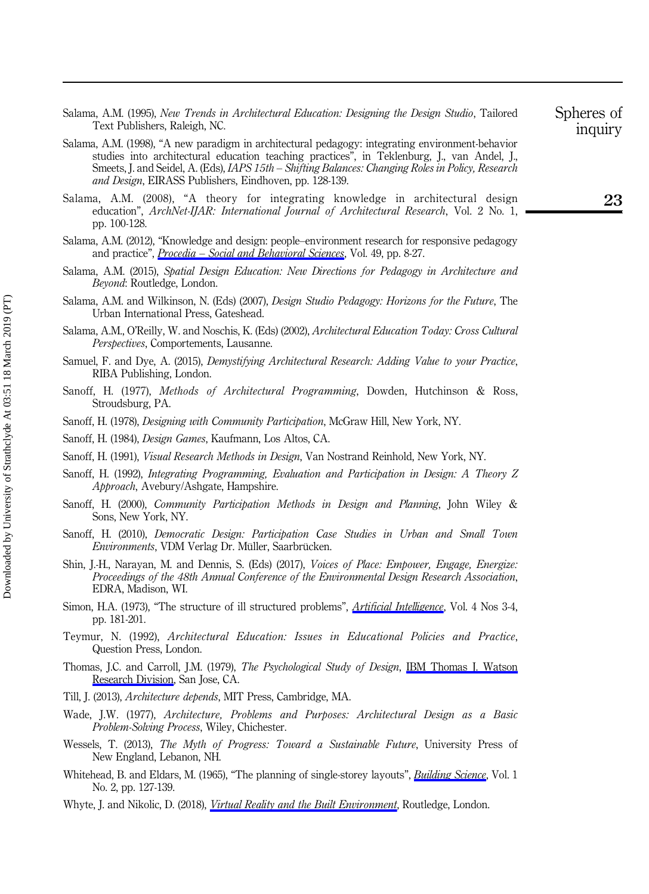- Salama, A.M. (1995), New Trends in Architectural Education: Designing the Design Studio, Tailored Text Publishers, Raleigh, NC.
- Salama, A.M. (1998), "A new paradigm in architectural pedagogy: integrating environment-behavior studies into architectural education teaching practices", in Teklenburg, J., van Andel, J., Smeets, J. and Seidel, A. (Eds), IAPS 15th – Shifting Balances: Changing Roles in Policy, Research and Design, EIRASS Publishers, Eindhoven, pp. 128-139.
- Salama, A.M. (2008), "A theory for integrating knowledge in architectural design education", ArchNet-IJAR: International Journal of Architectural Research, Vol. 2 No. 1, pp. 100-128.
- Salama, A.M. (2012), "Knowledge and design: people–environment research for responsive pedagogy and practice", *Procedia – [Social and Behavioral Sciences](https://www.emeraldinsight.com/action/showLinks?doi=10.1108%2FARCH-01-2019-0012&crossref=10.1016%2Fj.sbspro.2012.07.002&citationId=p_100)*, Vol. 49, pp. 8-27.
- Salama, A.M. (2015), Spatial Design Education: New Directions for Pedagogy in Architecture and Beyond: Routledge, London.
- Salama, A.M. and Wilkinson, N. (Eds) (2007), *Design Studio Pedagogy: Horizons for the Future*, The Urban International Press, Gateshead.
- Salama, A.M., O'Reilly, W. and Noschis, K. (Eds) (2002), Architectural Education Today: Cross Cultural Perspectives, Comportements, Lausanne.
- Samuel, F. and Dye, A. (2015), *Demystifying Architectural Research: Adding Value to your Practice*, RIBA Publishing, London.
- Sanoff, H. (1977), Methods of Architectural Programming, Dowden, Hutchinson & Ross, Stroudsburg, PA.
- Sanoff, H. (1978), Designing with Community Participation, McGraw Hill, New York, NY.
- Sanoff, H. (1984), Design Games, Kaufmann, Los Altos, CA.
- Sanoff, H. (1991), Visual Research Methods in Design, Van Nostrand Reinhold, New York, NY.
- Sanoff, H. (1992), Integrating Programming, Evaluation and Participation in Design: A Theory Z Approach, Avebury/Ashgate, Hampshire.
- Sanoff, H. (2000), Community Participation Methods in Design and Planning, John Wiley & Sons, New York, NY.
- Sanoff, H. (2010), Democratic Design: Participation Case Studies in Urban and Small Town Environments, VDM Verlag Dr. Müller, Saarbrücken.
- Shin, J.-H., Narayan, M. and Dennis, S. (Eds) (2017), Voices of Place: Empower, Engage, Energize: Proceedings of the 48th Annual Conference of the Environmental Design Research Association, EDRA, Madison, WI.
- Simon, H.A. (1973), "The structure of ill structured problems", *[Artificial Intelligence](https://www.emeraldinsight.com/action/showLinks?doi=10.1108%2FARCH-01-2019-0012&crossref=10.1016%2F0004-3702%2873%2990011-8&citationId=p_113)*, Vol. 4 Nos 3-4, pp. 181-201.
- Teymur, N. (1992), Architectural Education: Issues in Educational Policies and Practice, Question Press, London.
- Thomas, J.C. and Carroll, J.M. (1979), The Psychological Study of Design, [IBM Thomas J. Watson](https://www.emeraldinsight.com/action/showLinks?doi=10.1108%2FARCH-01-2019-0012&crossref=10.1016%2F0142-694X%2879%2990020-6&citationId=p_115) [Research Division](https://www.emeraldinsight.com/action/showLinks?doi=10.1108%2FARCH-01-2019-0012&crossref=10.1016%2F0142-694X%2879%2990020-6&citationId=p_115), San Jose, CA.
- Till, J. (2013), Architecture depends, MIT Press, Cambridge, MA.
- Wade, J.W. (1977), Architecture, Problems and Purposes: Architectural Design as a Basic Problem-Solving Process, Wiley, Chichester.
- Wessels, T. (2013), The Myth of Progress: Toward a Sustainable Future, University Press of New England, Lebanon, NH.
- Whitehead, B. and Eldars, M. (1965), "The planning of single-storey layouts", *[Building Science](https://www.emeraldinsight.com/action/showLinks?doi=10.1108%2FARCH-01-2019-0012&crossref=10.1016%2F0007-3628%2865%2990014-9&citationId=p_119)*, Vol. 1 No. 2, pp. 127-139.
- Whyte, J. and Nikolic, D. (2018), *[Virtual Reality and the Built Environment](https://www.emeraldinsight.com/action/showLinks?doi=10.1108%2FARCH-01-2019-0012&crossref=10.1201%2F9781315618500&citationId=p_120)*, Routledge, London.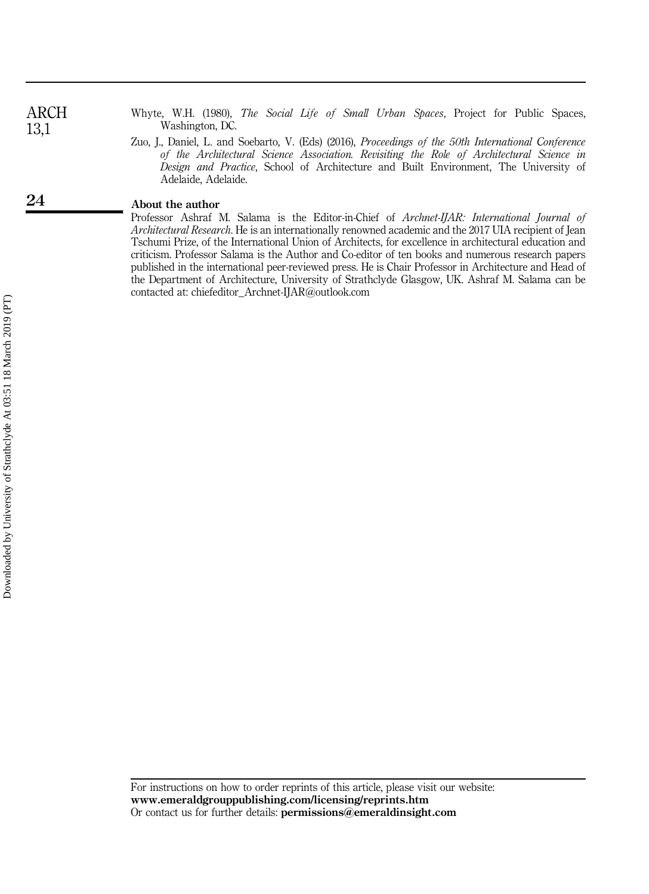| <b>ARCH</b><br>13,1 | Whyte, W.H. (1980), The Social Life of Small Urban Spaces, Project for Public Spaces,<br>Washington, DC.                                                                                                                                                                                                                |
|---------------------|-------------------------------------------------------------------------------------------------------------------------------------------------------------------------------------------------------------------------------------------------------------------------------------------------------------------------|
|                     | Zuo, J., Daniel, L. and Soebarto, V. (Eds) (2016), Proceedings of the 50th International Conference<br>of the Architectural Science Association. Revisiting the Role of Architectural Science in<br><i>Design and Practice</i> , School of Architecture and Built Environment, The University of<br>Adelaide, Adelaide. |
| 24                  | About the author                                                                                                                                                                                                                                                                                                        |

#### About the author

Professor Ashraf M. Salama is the Editor-in-Chief of Archnet-IJAR: International Journal of Architectural Research. He is an internationally renowned academic and the 2017 UIA recipient of Jean Tschumi Prize, of the International Union of Architects, for excellence in architectural education and criticism. Professor Salama is the Author and Co-editor of ten books and numerous research papers published in the international peer-reviewed press. He is Chair Professor in Architecture and Head of the Department of Architecture, University of Strathclyde Glasgow, UK. Ashraf M. Salama can be contacted at: chiefeditor\_Archnet-IJAR@outlook.com

For instructions on how to order reprints of this article, please visit our website: www.emeraldgrouppublishing.com/licensing/reprints.htm Or contact us for further details: permissions@emeraldinsight.com